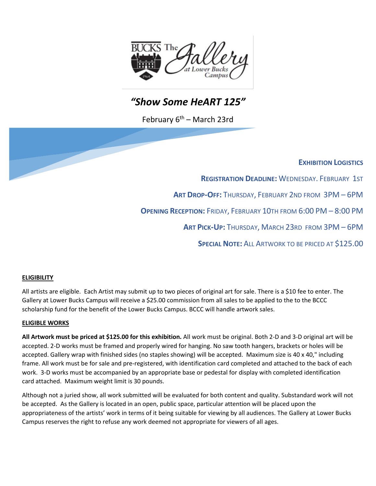

# *"Show Some HeART 125"*

February  $6<sup>th</sup>$  – March 23rd

### **EXHIBITION LOGISTICS**

**REGISTRATION DEADLINE: WEDNESDAY. FEBRUARY 1ST** 

**ART DROP-OFF:** THURSDAY, FEBRUARY 2ND FROM 3PM – 6PM

**OPENING RECEPTION:** FRIDAY, FEBRUARY 10TH FROM 6:00 PM – 8:00 PM

**ART PICK-UP:** THURSDAY, MARCH 23RD FROM 3PM – 6PM

**SPECIAL NOTE:** ALL ARTWORK TO BE PRICED AT \$125.00

#### **ELIGIBILITY**

All artists are eligible. Each Artist may submit up to two pieces of original art for sale. There is a \$10 fee to enter. The Gallery at Lower Bucks Campus will receive a \$25.00 commission from all sales to be applied to the to the BCCC scholarship fund for the benefit of the Lower Bucks Campus. BCCC will handle artwork sales.

#### **ELIGIBLE WORKS**

**All Artwork must be priced at \$125.00 for this exhibition.** All work must be original. Both 2-D and 3-D original art will be accepted. 2-D works must be framed and properly wired for hanging. No saw tooth hangers, brackets or holes will be accepted. Gallery wrap with finished sides (no staples showing) will be accepted. Maximum size is 40 x 40," including frame. All work must be for sale and pre-registered, with identification card completed and attached to the back of each work. 3-D works must be accompanied by an appropriate base or pedestal for display with completed identification card attached. Maximum weight limit is 30 pounds.

Although not a juried show, all work submitted will be evaluated for both content and quality. Substandard work will not be accepted. As the Gallery is located in an open, public space, particular attention will be placed upon the appropriateness of the artists' work in terms of it being suitable for viewing by all audiences. The Gallery at Lower Bucks Campus reserves the right to refuse any work deemed not appropriate for viewers of all ages.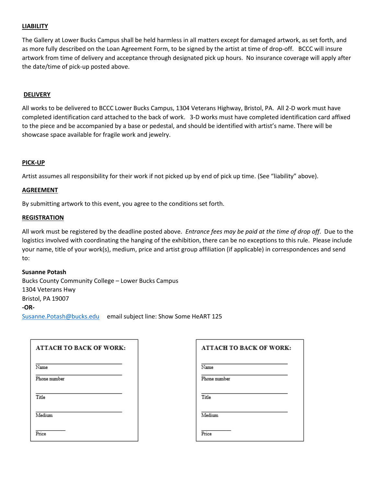#### **LIABILITY**

The Gallery at Lower Bucks Campus shall be held harmless in all matters except for damaged artwork, as set forth, and as more fully described on the Loan Agreement Form, to be signed by the artist at time of drop-off. BCCC will insure artwork from time of delivery and acceptance through designated pick up hours. No insurance coverage will apply after the date/time of pick-up posted above.

#### **DELIVERY**

All works to be delivered to BCCC Lower Bucks Campus, 1304 Veterans Highway, Bristol, PA. All 2-D work must have completed identification card attached to the back of work. 3-D works must have completed identification card affixed to the piece and be accompanied by a base or pedestal, and should be identified with artist's name. There will be showcase space available for fragile work and jewelry.

#### **PICK-UP**

Artist assumes all responsibility for their work if not picked up by end of pick up time. (See "liability" above).

#### **AGREEMENT**

By submitting artwork to this event, you agree to the conditions set forth.

#### **REGISTRATION**

All work must be registered by the deadline posted above. *Entrance fees may be paid at the time of drop off*. Due to the logistics involved with coordinating the hanging of the exhibition, there can be no exceptions to this rule. Please include your name, title of your work(s), medium, price and artist group affiliation (if applicable) in correspondences and send to:

#### **Susanne Potash**

Bucks County Community College – Lower Bucks Campus 1304 Veterans Hwy Bristol, PA 19007 **-OR-**[Susanne.Potash@bucks.edu](mailto:Susanne.Potash@bucks.edu) email subject line: Show Some HeART 125

| <b>ATTACH TO BACK OF WORK:</b> | <b>ATTACH TO BACK OF WORK:</b> |
|--------------------------------|--------------------------------|
| Name                           | Name                           |
| Phone number                   | Phone number                   |
| Title                          | Title                          |
| Medium                         | Medium                         |
| Price                          | Price                          |